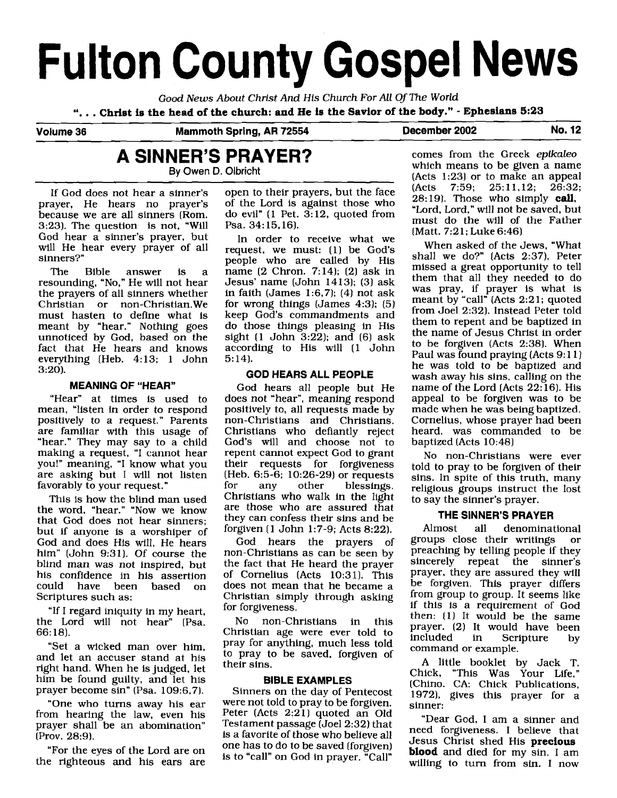# **Fulton County Gospel News**

*Good News About Christ And* **His** *Church For All Of The World* ". . . **Christ is the head of the church: and He ie the Savior of the body."** - **Ephesians 5:23** 

Volume 36 Mammoth Spring, AR 72554 December 2002 No. 12

# **A SINNER'S PRAYER? By Owen D.** Olbricht

If God does not hear a sinner's prayer, He hears no prayer's because we are all sinners (Rom. 3:231. The question is not, "Will God hear a sinner's prayer, but will He hear every prayer of all sinners?"

The Bible answer is a resounding, "No," He will not hear the prayers of all sinners whether Christian or non-Christian.We must hasten to define what is meant by "hear." Nothing goes unnoticed by God, based on the fact that He hears and knows everything (Heb. 4:13; 1 John 3:20).

#### **MEANING OF "HEAR"**

"Hear" at times is used to mean, "listen in order to respond positively to a request." Parents are familiar with this usage of "hear." They may say to a child making a request, "I cannot hear you!" meaning, "I know what you are asking but I will not listen favorably to your request."

This is how the blind man used the word, "hear." "Now we know that God does not hear sinners; but if anyone is a worshiper of God and does His will, He hears him" (John 9:31). Of course the blind man was not inspired, but his confidence in his assertion could have been based on Scriptures such as:

"If I regard iniquity in my heart, the Lord will not hear" [Psa. 66: 18).

"Set a wicked man over him, and let an accuser stand at his right hand. When he is judged, let him be found guilty, and let his prayer become sin" (Psa. 109:6,7).

"One who turns away his ear from hearing the law, even his prayer shall be an abomination" (Prov. 28:9).

"For the eyes of the Lord are on the righteous and his ears are open to their prayers, but the face of the Lord is against those who do evil" (1 Pet. 3:12, quoted from Psa. 34: 15,16).

In order to receive what we request, we must: (1) be God's people who are called by His name (2 Chron. 7:14); (2) ask in Jesus' name (John 14131; (31 ask in faith (James 1:6,7);  $(4)$  not ask for wrong things (James 4:3); (5) keep God's commandments and do those things pleasing in His sight  $(1$  John  $3:22$ ); and  $(6)$  ask according to His will (1 John 5: 14).

#### **GOD HEARS ALL PEOPLE**

God hears all people but He does not "hear", meaning respond positively to, all requests made by non-Christians and Christians. Christians who defiantly reject God's will and choose not to repent cannot expect God to grant<br>their requests for forgiveness their requests for (Heb.  $6:5-\hat{6}$ ; 10:26-29) or requests<br>for any other blessings. blessings. Christians who walk in the light are those who are assured that they can confess their sins and be forgiven (1 John 1:7-9; Acts 8:22).

God hears the prayers of non-Christians as can be seen by the fact that He heard the prayer of Cornelius (Acts 10:31). This does not mean that he became a Christian simply through asking for forgiveness.

No non-Christians in this Christian age were ever told to pray for anything, much less told to pray to be saved, forgiven of their sins.

#### **BIBLE EXAMPLES**

Sinners on the day of Pentecost were not told to pray to be forgiven. Peter (Acts 2:21) quoted an Old Testament passage (Joel 2:32) that is a favorite of those who believe all one has to do to be saved (forgiven) is to "call" on God in prayer. "Call"

comes from the Greek *epikaleo*  which means to be given a name (Acts 1:23) or to make an appeal<br>(Acts  $7:59: 25:11.12: 26:32$ )  $(7:59; 25:11,12;$ 28:191. Those who simply **call,**  'Lord, Lord," will not be saved, but must do the will of the Father (Matt. 7:21; Luke 6:46)

When asked of the Jews, "What shall we do?" (Acts 2:37), Peter missed a great opportunity to tell them that all they needed to do was pray, if prayer is what is meant by "call" (Acts 2:21; quoted from Joel 2:32). Instead Peter told them to repent and be baptized in the name of Jesus Christ In order to be forgiven (Acts 2:381. When Paul was found praying (Acts 9:11) he was told to be baptized and wash away his sins, calling on the name of the Lord (Acts 22: 16). His appeal to be forgiven was to be made when he was being baptized. Cornelius, whose prayer had been heard, was commanded to be baptized (Acts 10:48)

No non-Christians were ever told to pray to be forgiven of their sins. In spite of this truth, many religious groups instruct the lost to say the sinner's prayer.

#### **THE SINNER'S PRAYER**

Almost all denominational groups close their writings or preaching by telling people if they sincerely repeat the sinner's prayer, they are assured they will be forgiven. This prayer differs from group to group. It seems like if this is a requirement of God then:  $(1)$  It would be the same prayer. (2) It would have been<br>included in Scripture by Scripture by command or example.

A little booklet by Jack T. Chick, "This Was Your Life," (Chino. CA. Chick Publications, 19721, gives this prayer for a sinner:

"Dear God, I am a sinner and need forgiveness. I believe that Jesus Christ shed His **precious blood** and died for my sin. I am willing to turn from sin. I now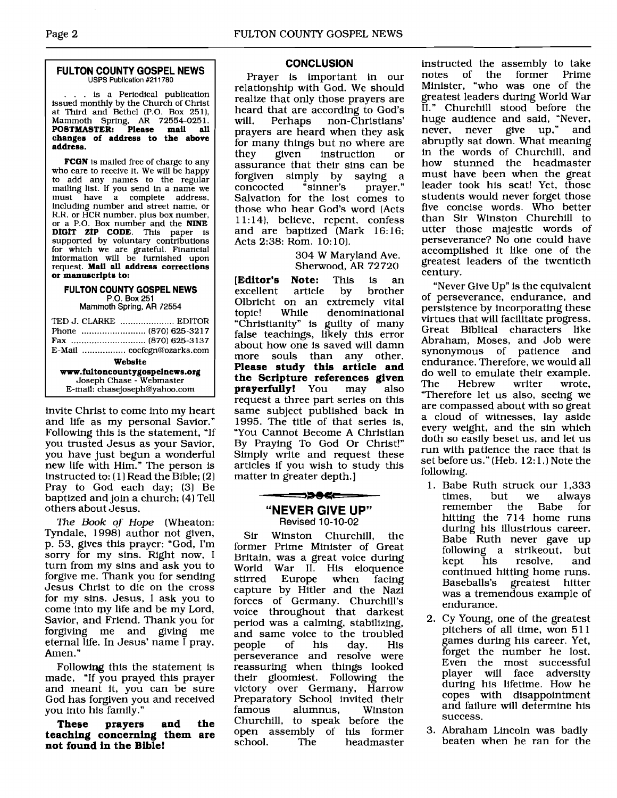#### **FULTON COUNTY GOSPEL NEWS USPS Publication #211780**

. . is a Periodical publication issued monthly by the Church of Christ at Third and Bethel (P.O. Box 251), Mammoth Spring. **AR** 72554-025 1. **POSTMASTER: Please mail all changes of address to the above address.** 

**FCON** is mailed free of charge to any who care to receive it. We will be happy to add any names to the regular mailing list. If you send in a name we must have a complete address,<br>including number and street name, or R.R. or HCR number, plus box number, or a P.O. Box number and the **NINE DIGIT ZIP CODE.** This paper is supported by voluntary contributions for which we are grateful. Financial information will be furnished upon request. **Mafl all address corrections or manuecrlpte to:** 

#### **FULTON COUNTY GOSPEL NEWS P.O.** Box **251**

Mammoth **Spring, AR 72554** 

| TED J. CLARKE  EDITOR          |  |  |
|--------------------------------|--|--|
|                                |  |  |
|                                |  |  |
| E-Mail  cocfcgn@ozarks.com     |  |  |
| Website                        |  |  |
| www.fultoncountygospelnews.org |  |  |
| Joseph Chase - Webmaster       |  |  |
| E-mail: chasejoseph@yahoo.com  |  |  |

invite Christ to come into my heart and life as my personal Savior." Following this is the statement, "If you trusted Jesus as your Savior, you have just begun a wonderful new life with Him." The person is instructed to: ( 11 Read the Bible; (21 Pray to God each day; (31 Be baptized and join a church; (41 Tell others about Jesus.

*The Book of Hope* (Wheaton: Tyndale, 1998) author not given, p. 53, gives this prayer: "God, I'm sorry for my sins. Right now, I turn from my sins and ask you to forgive me. Thank you for sending Jesus Christ to die on the cross for my sins. Jesus, I ask you to come into my life and be my Lord, Savior, and Friend. Thank you for forgiving me and giving me eternal life. In Jesus' name I pray. Amen. "

Following this the statement is made, "If you prayed this prayer and meant it, you can be sure God has forgiven you and received you into his family."

**These prayers and the teaching concerning them are not found in the Bible!** 

#### **CONCLUSION**

Prayer is important in our relationship with God. We should realize that only those prayers are heard that are according to God's<br>will. Perhaps non-Christians' non-Christians' prayers are heard when they ask for many things but no where are<br>they given instruction or instruction or assurance that their sins can be forgiven simply by saying a concocted Salvation for the lost comes to those who hear God's word (Acts 11:14), believe, repent, confess and are baptized (Mark 16:16; Acts 2:38: Rom. 10:10).

> 304 W Maryland Ave. Sherwood, **AR** 72720

**[Editor's Note:** This is an excellent Olbricht on an extremely vital<br>topic! While denominational denominational "Christianity" is guilty of many false teachings, likely this error about how one is saved will damn more souls than any other. **Please study this article and the Scripture references given prayerfully!** You may also request a three part series on this same subject published back in 1995. The title of that series is, "You Cannot Become A Christian By Praying To God Or Christ!" Simply write and request these articles if you wish to study this matter in greater depth.]

## ━━━>>●< **"NEVER GIVE UP"**

**Revised 10-1 0-02** 

Sir Winston Churchill, the former Prime Minister of Great Britain, was a great voice during World War II. His eloquence<br>stirred Europe when facing when facing capture by Hitler and the Nazi forces of Germany. Churchill's voice throughout that darkest period was a calming, stabilizing, and same voice to the troubled<br>people of his day. His people perseverance and resolve were reassuring when things looked their gloomiest. Following the victory over Germany, Harrow Preparatory School invited their<br>famous alumnus, Winston alumnus, Churchill, to speak before the open assembly of his former<br>school. The headmaster headmaster

instructed the assembly to take notes of the former Prime Minister, "who was one of the greatest leaders during World War 11." Churchill stood before the huge audience and said, "Never, never, never give up," and abruptly sat down. What meaning in the words of Churchill, and how stunned the headmaster must have been when the great leader took his seat! Yet, those students would never forget those five concise words. Who better than Sir Winston Churchill to utter those majestic words of perseverance? No one could have accomplished it like one of the greatest leaders of the twentieth century.

"Never Give Up" is the equivalent of perseverance, endurance, and persistence by incorporating these virtues that will facilitate progress. Great Biblical characters like Abraham, Moses, and Job were synonymous of patience and endurance. Therefore, we would all do well to emulate their example.<br>The Hebrew writer wrote. Hebrew "Therefore let us also, seeing we are compassed about with so great a cloud of witnesses, lay aside every weight, and the sin which doth so easily beset us, and let us run with patience the race that is set before us." (Heb. 12:1.) Note the following.

- 1. Babe Ruth struck our 1,333<br>times, but we always times, but we always the Babe hitting the 714 home runs during his illustrious career. Babe Ruth never gave up following a strikeout, but<br>kept his resolve, and his resolve, and continued hitting home runs. Baseballs's greatest hitter was a tremendous example of endurance.
- 2. Cy Young, one of the greatest pitchers of all time, won 511 games during his career. Yet, forget the number he lost. Even the most successful player will face adversity during his lifetime. How he copes with disappointment and failure will determine his success.
- 3. Abraham Lincoln was badly beaten when he ran for the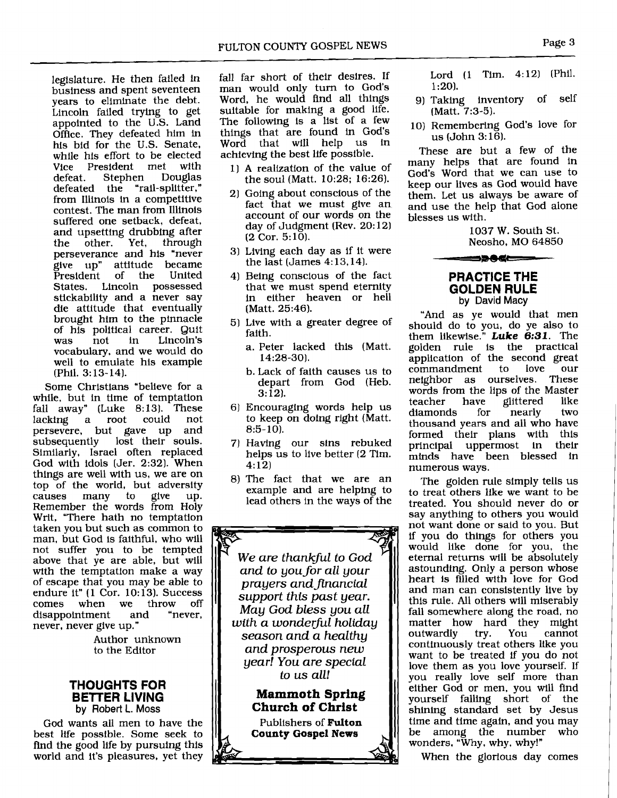legislature. He then failed in business and spent seventeen years to eliminate the debt. Lincoln fafled trying to get appointed to the U.S. Land Office. They defeated him in his bid for the U.S. Senate, while his effort to be elected<br>Vice President met with Vice President met with<br>defeat. Stephen Douglas defeat. Stephen Douglas defeated the "rail-splitter," from Illinois in a competitive contest. The man from Illinois suffered one setback, defeat, and upsetting drubbing after<br>the other. Yet, through Yet, through perseverance and his 'never give up' attitude became President of the United States. Lincoln possessed stickability and a never say die attitude that eventually brought him to the pinnacle of his political career. Quit Lincoln's vocabulary, and we would do well to emulate his example (Phil. 3: 13-14).

Some Christians 'believe for a while, but in time of temptation fall away" (Luke 8:13). These lacking a root could not a root could persevere, but gave up and<br>subsequently lost their souls. lost their souls. Similarly, Israel often replaced God with idols [Jer. 2:32]. When things are well with us, we are on top of the world, but adversity<br>causes many to give up. causes many to give up. Remember the words from Holy Writ, "There hath no temptation taken you but such as common to man, but God is faithful, who will not suffer you to be tempted above that ye are able, but will with the temptation make a way of escape that you may be able to endure it" (1 Cor. 10:13). Success<br>comes when we throw off when we disappointment and "never, never, never give up."

> Author unknown to the Editor

#### **THOUGHTS FOR BETTER LIVING**  by Robert **L.** Moss

God wants all men to have the best life possible. Some seek to find the good life by pursuing this world and it's pleasures, yet they

fall far short of their desires. If man would only turn to God's Word, he would find all things suitable for making a good life. The following is a list of a few things that are found in God's Word that will help us achieving the best life possible.

- 1) A realization of the value of the soul (Matt. 10:28; 16:26).
- 21 Going about conscious of the fact that we must give an account of our words on the day of Judgment (Rev. 20:12) **(2** Cor. 5: 10).
- 3) Living each day as if it were the last (James  $4:13,14$ ).
- 4) Being conscious of the fact that we must spend eternity in either heaven or hell (Matt. 25:46).
- 5) Live with a greater degree of faith.
	- a. Peter lacked this (Matt. 14:28-30).
	- b. Lack of faith causes us to depart from God (Heb.  $3:12$ .
- **61** Encouraging words help us to keep on doing right (Matt.  $8:5-10$ .
- 7) Having our sins rebuked helps us to live better (2 Tim. 4: 12)
- 8) The fact that we are an example and are helping to lead others in the ways of the

*We are thankful to God and to you for all your prayers andflnancial support this past year. May God bless you all with a wonderful holiday season and a healthy and prosperous new year! You are special* 

> **Mammoth Spring Church of Christ**  Publishers of **Fulton County Gospel News**

Lord (1 Tim. 4:12) [Phil. 1:201.

- 9) Taking inventory of self (Matt. **7:3-5).**
- 10) Remembering God's love for us  $(John 3:16)$ .

These are but a few of the many helps that are found in God's Word that we can use to keep our lives as God would have them. Let us always be aware of and use the help that God alone blesses us with.

> 1037 W. South St. Neosho, MO 64850

#### **PRACTICE THE GOLDEN RULE**  by **David** Macy

<u>==>06 ===</u>

"And as ye would that men should do to you, do ye also to them likewise." Luke **6:31.** The golden rule is the practical application of the second great<br>commandment to love our commandment to neighbor as ourselves. These words from the lips of the Master<br>teacher have glittered like ve glittered like<br>for nearly two diamonds thousand years and all who have formed their plans with this<br>principal uppermost in their principal uppermost in minds have been blessed in numerous ways.

The golden rule simply tells us to treat others like we want to be treated. You should never do or say anything to others you would not want done or said to you. But if you do things for others you would like done for you, the eternal returns will be absolutely astounding. Only a person whose heart is filled with love for God and man can consistently live by this rule. All others will miserably fall somewhere along the road, no matter how hard they might<br>outwardly try. You cannot outwardly continuously treat others like you want to be treated if you do not love them as you love yourself. If you really love self more than either God or men, you will find yourself falling short of the shining standard set by Jesus time and time again, and you may<br>be among the number who be among the number wonders, "Why, why, why!"

When the glorious day comes